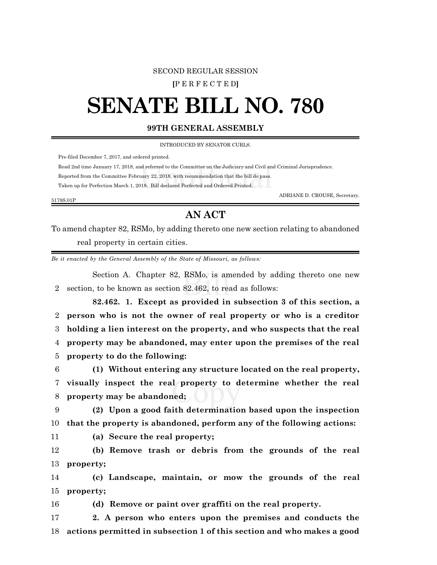## SECOND REGULAR SESSION

**[**P E R F E C T E D**]**

## **SENATE BILL NO. 780**

## **99TH GENERAL ASSEMBLY**

INTRODUCED BY SENATOR CURLS.

Pre-filed December 7, 2017, and ordered printed.

Read 2nd time January 17, 2018, and referred to the Committee on the Judiciary and Civil and Criminal Jurisprudence.

Reported from the Committee February 22, 2018, with recommendation that the bill do pass.

Taken up for Perfection March 1, 2018. Bill declared Perfected and Ordered Printed.

ADRIANE D. CROUSE, Secretary.

## **AN ACT**

To amend chapter 82, RSMo, by adding thereto one new section relating to abandoned real property in certain cities.

*Be it enacted by the General Assembly of the State of Missouri, as follows:*

Section A. Chapter 82, RSMo, is amended by adding thereto one new 2 section, to be known as section 82.462, to read as follows:

**82.462. 1. Except as provided in subsection 3 of this section, a person who is not the owner of real property or who is a creditor holding a lien interest on the property, and who suspects that the real property may be abandoned, may enter upon the premises of the real property to do the following:**

6 **(1) Without entering any structure located on the real property,** 7 **visually inspect the real property to determine whether the real** 8 **property may be abandoned;**

9 **(2) Upon a good faith determination based upon the inspection** 10 **that the property is abandoned, perform any of the following actions:**

5178S.01P

11 **(a) Secure the real property;**

12 **(b) Remove trash or debris from the grounds of the real** 13 **property;**

14 **(c) Landscape, maintain, or mow the grounds of the real** 15 **property;**

16 **(d) Remove or paint over graffiti on the real property.**

17 **2. A person who enters upon the premises and conducts the** 18 **actions permitted in subsection 1 of this section and who makes a good**